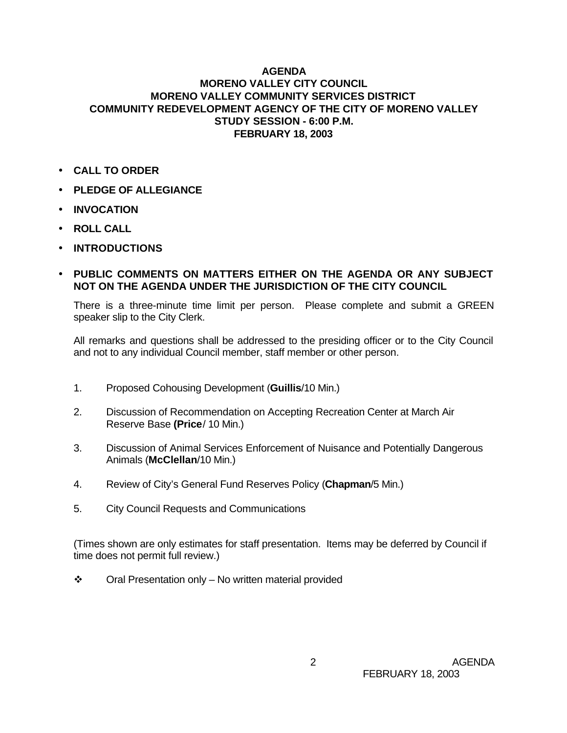## **AGENDA MORENO VALLEY CITY COUNCIL MORENO VALLEY COMMUNITY SERVICES DISTRICT COMMUNITY REDEVELOPMENT AGENCY OF THE CITY OF MORENO VALLEY STUDY SESSION - 6:00 P.M. FEBRUARY 18, 2003**

- **CALL TO ORDER**
- **PLEDGE OF ALLEGIANCE**
- **INVOCATION**
- **ROLL CALL**
- **INTRODUCTIONS**
- **PUBLIC COMMENTS ON MATTERS EITHER ON THE AGENDA OR ANY SUBJECT NOT ON THE AGENDA UNDER THE JURISDICTION OF THE CITY COUNCIL**

There is a three-minute time limit per person. Please complete and submit a GREEN speaker slip to the City Clerk.

All remarks and questions shall be addressed to the presiding officer or to the City Council and not to any individual Council member, staff member or other person.

- 1. Proposed Cohousing Development (**Guillis**/10 Min.)
- 2. Discussion of Recommendation on Accepting Recreation Center at March Air Reserve Base **(Price**/ 10 Min.)
- 3. Discussion of Animal Services Enforcement of Nuisance and Potentially Dangerous Animals (**McClellan**/10 Min.)
- 4. Review of City's General Fund Reserves Policy (**Chapman**/5 Min.)
- 5. City Council Requests and Communications

(Times shown are only estimates for staff presentation. Items may be deferred by Council if time does not permit full review.)

 $\div$  Oral Presentation only – No written material provided